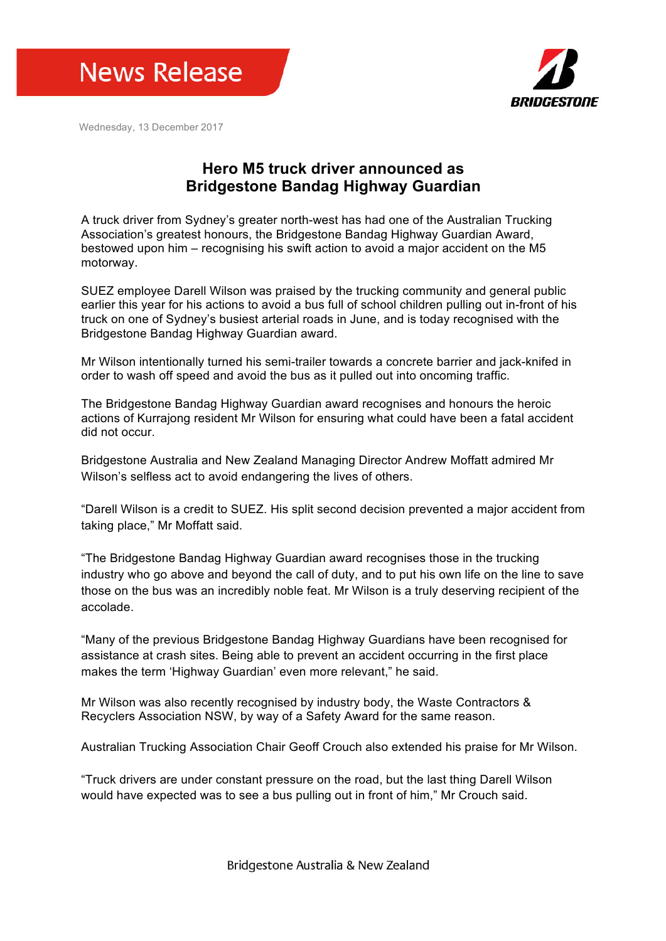



Wednesday, 13 December 2017

## **Hero M5 truck driver announced as Bridgestone Bandag Highway Guardian**

A truck driver from Sydney's greater north-west has had one of the Australian Trucking Association's greatest honours, the Bridgestone Bandag Highway Guardian Award, bestowed upon him – recognising his swift action to avoid a major accident on the M5 motorway.

SUEZ employee Darell Wilson was praised by the trucking community and general public earlier this year for his actions to avoid a bus full of school children pulling out in-front of his truck on one of Sydney's busiest arterial roads in June, and is today recognised with the Bridgestone Bandag Highway Guardian award.

Mr Wilson intentionally turned his semi-trailer towards a concrete barrier and jack-knifed in order to wash off speed and avoid the bus as it pulled out into oncoming traffic.

The Bridgestone Bandag Highway Guardian award recognises and honours the heroic actions of Kurrajong resident Mr Wilson for ensuring what could have been a fatal accident did not occur.

Bridgestone Australia and New Zealand Managing Director Andrew Moffatt admired Mr Wilson's selfless act to avoid endangering the lives of others.

"Darell Wilson is a credit to SUEZ. His split second decision prevented a major accident from taking place," Mr Moffatt said.

"The Bridgestone Bandag Highway Guardian award recognises those in the trucking industry who go above and beyond the call of duty, and to put his own life on the line to save those on the bus was an incredibly noble feat. Mr Wilson is a truly deserving recipient of the accolade.

"Many of the previous Bridgestone Bandag Highway Guardians have been recognised for assistance at crash sites. Being able to prevent an accident occurring in the first place makes the term 'Highway Guardian' even more relevant," he said.

Mr Wilson was also recently recognised by industry body, the Waste Contractors & Recyclers Association NSW, by way of a Safety Award for the same reason.

Australian Trucking Association Chair Geoff Crouch also extended his praise for Mr Wilson.

"Truck drivers are under constant pressure on the road, but the last thing Darell Wilson would have expected was to see a bus pulling out in front of him," Mr Crouch said.